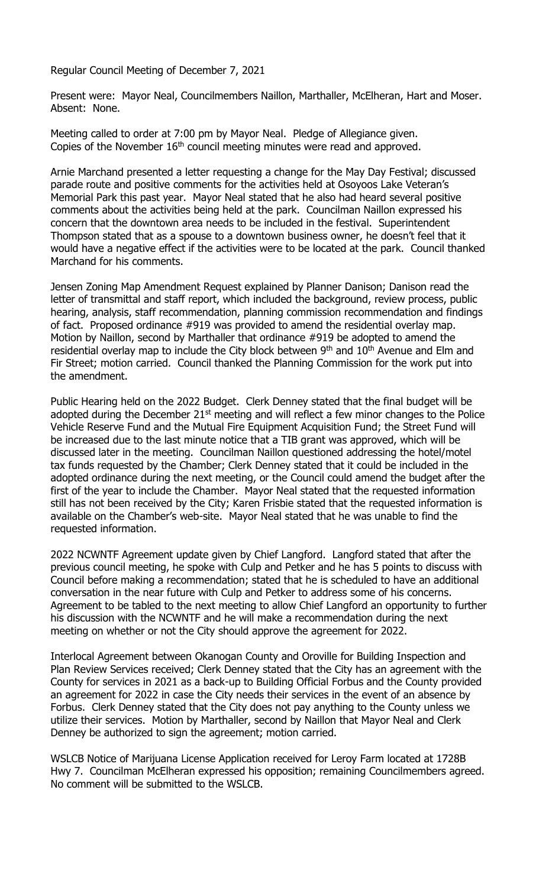Regular Council Meeting of December 7, 2021

Present were: Mayor Neal, Councilmembers Naillon, Marthaller, McElheran, Hart and Moser. Absent: None.

Meeting called to order at 7:00 pm by Mayor Neal. Pledge of Allegiance given. Copies of the November  $16<sup>th</sup>$  council meeting minutes were read and approved.

Arnie Marchand presented a letter requesting a change for the May Day Festival; discussed parade route and positive comments for the activities held at Osoyoos Lake Veteran's Memorial Park this past year. Mayor Neal stated that he also had heard several positive comments about the activities being held at the park. Councilman Naillon expressed his concern that the downtown area needs to be included in the festival. Superintendent Thompson stated that as a spouse to a downtown business owner, he doesn't feel that it would have a negative effect if the activities were to be located at the park. Council thanked Marchand for his comments.

Jensen Zoning Map Amendment Request explained by Planner Danison; Danison read the letter of transmittal and staff report, which included the background, review process, public hearing, analysis, staff recommendation, planning commission recommendation and findings of fact. Proposed ordinance #919 was provided to amend the residential overlay map. Motion by Naillon, second by Marthaller that ordinance #919 be adopted to amend the residential overlay map to include the City block between  $9<sup>th</sup>$  and  $10<sup>th</sup>$  Avenue and Elm and Fir Street; motion carried. Council thanked the Planning Commission for the work put into the amendment.

Public Hearing held on the 2022 Budget. Clerk Denney stated that the final budget will be adopted during the December  $21<sup>st</sup>$  meeting and will reflect a few minor changes to the Police Vehicle Reserve Fund and the Mutual Fire Equipment Acquisition Fund; the Street Fund will be increased due to the last minute notice that a TIB grant was approved, which will be discussed later in the meeting. Councilman Naillon questioned addressing the hotel/motel tax funds requested by the Chamber; Clerk Denney stated that it could be included in the adopted ordinance during the next meeting, or the Council could amend the budget after the first of the year to include the Chamber. Mayor Neal stated that the requested information still has not been received by the City; Karen Frisbie stated that the requested information is available on the Chamber's web-site. Mayor Neal stated that he was unable to find the requested information.

2022 NCWNTF Agreement update given by Chief Langford. Langford stated that after the previous council meeting, he spoke with Culp and Petker and he has 5 points to discuss with Council before making a recommendation; stated that he is scheduled to have an additional conversation in the near future with Culp and Petker to address some of his concerns. Agreement to be tabled to the next meeting to allow Chief Langford an opportunity to further his discussion with the NCWNTF and he will make a recommendation during the next meeting on whether or not the City should approve the agreement for 2022.

Interlocal Agreement between Okanogan County and Oroville for Building Inspection and Plan Review Services received; Clerk Denney stated that the City has an agreement with the County for services in 2021 as a back-up to Building Official Forbus and the County provided an agreement for 2022 in case the City needs their services in the event of an absence by Forbus. Clerk Denney stated that the City does not pay anything to the County unless we utilize their services. Motion by Marthaller, second by Naillon that Mayor Neal and Clerk Denney be authorized to sign the agreement; motion carried.

WSLCB Notice of Marijuana License Application received for Leroy Farm located at 1728B Hwy 7. Councilman McElheran expressed his opposition; remaining Councilmembers agreed. No comment will be submitted to the WSLCB.